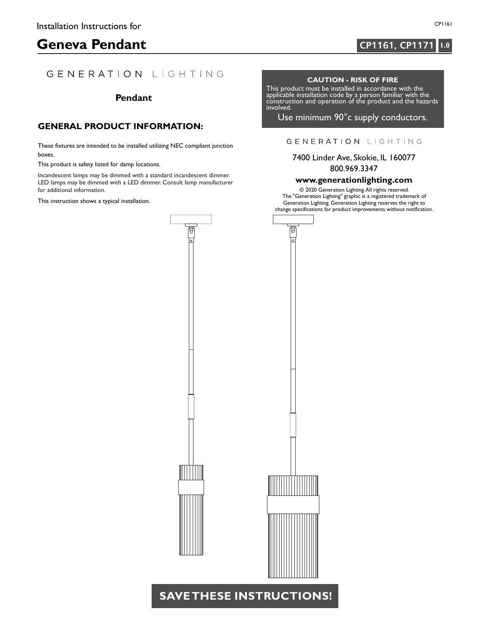# **Geneva Pendant 1.0 CP1161**, CP1171 **1.0**

### GENERATION LIGHTING

### **Pendant**

#### **GENERAL PRODUCT INFORMATION:**

These fixtures are intended to be installed utilizing NEC compliant junction boxes.

This product is safety listed for damp locations.

Incandescent lamps may be dimmed with a standard incandescent dimmer. LED lamps may be dimmed with a LED dimmer. Consult lamp manufacturer for additional information.

This instruction shows a typical installation.



**CP1161, CP1171**

#### **CAUTION - RISK OF FIRE**

This product must be installed in accordance with the applicable installation code by a person familiar with the construction and operation of the product and the hazards involved.

Use minimum 90°c supply conductors.

#### GENERATION LIGHTING

7400 Linder Ave, Skokie, IL 160077 800.969.3347

#### **www.generationlighting.com**

© 2020 Generation Lighting.All rights reserved. The "Generation Lighting" graphic is a registered trademark of Generation Lighting. Generation Lighting reserves the right to change specifications for product improvements without notification.



## **SAVETHESE INSTRUCTIONS!**